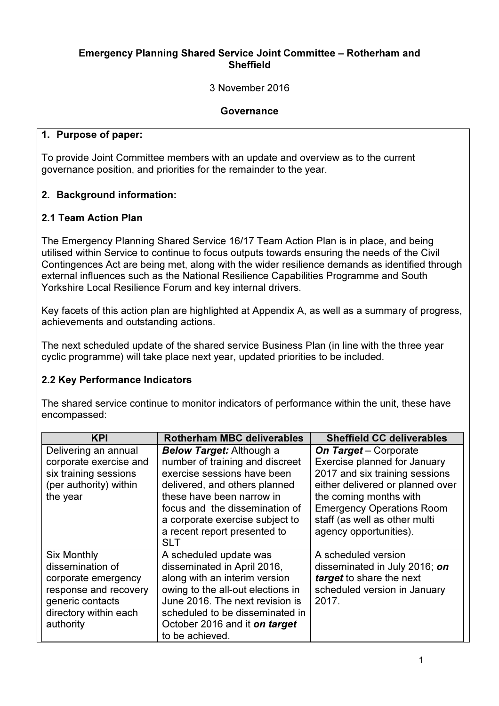#### Emergency Planning Shared Service Joint Committee – Rotherham and **Sheffield**

3 November 2016

#### Governance

#### 1. Purpose of paper:

To provide Joint Committee members with an update and overview as to the current governance position, and priorities for the remainder to the year.

#### 2. Background information:

#### 2.1 Team Action Plan

The Emergency Planning Shared Service 16/17 Team Action Plan is in place, and being utilised within Service to continue to focus outputs towards ensuring the needs of the Civil Contingences Act are being met, along with the wider resilience demands as identified through external influences such as the National Resilience Capabilities Programme and South Yorkshire Local Resilience Forum and key internal drivers.

Key facets of this action plan are highlighted at Appendix A, as well as a summary of progress, achievements and outstanding actions.

The next scheduled update of the shared service Business Plan (in line with the three year cyclic programme) will take place next year, updated priorities to be included.

#### 2.2 Key Performance Indicators

The shared service continue to monitor indicators of performance within the unit, these have encompassed:

| <b>KPI</b>                                                                                                                                       | <b>Rotherham MBC deliverables</b>                                                                                                                                                                                                                                                  | <b>Sheffield CC deliverables</b>                                                                                                                                                                                                                            |
|--------------------------------------------------------------------------------------------------------------------------------------------------|------------------------------------------------------------------------------------------------------------------------------------------------------------------------------------------------------------------------------------------------------------------------------------|-------------------------------------------------------------------------------------------------------------------------------------------------------------------------------------------------------------------------------------------------------------|
| Delivering an annual<br>corporate exercise and<br>six training sessions<br>(per authority) within<br>the year                                    | <b>Below Target:</b> Although a<br>number of training and discreet<br>exercise sessions have been<br>delivered, and others planned<br>these have been narrow in<br>focus and the dissemination of<br>a corporate exercise subject to<br>a recent report presented to<br><b>SLT</b> | <b>On Target</b> – Corporate<br>Exercise planned for January<br>2017 and six training sessions<br>either delivered or planned over<br>the coming months with<br><b>Emergency Operations Room</b><br>staff (as well as other multi<br>agency opportunities). |
| <b>Six Monthly</b><br>dissemination of<br>corporate emergency<br>response and recovery<br>generic contacts<br>directory within each<br>authority | A scheduled update was<br>disseminated in April 2016,<br>along with an interim version<br>owing to the all-out elections in<br>June 2016. The next revision is<br>scheduled to be disseminated in<br>October 2016 and it on target<br>to be achieved.                              | A scheduled version<br>disseminated in July 2016; on<br>target to share the next<br>scheduled version in January<br>2017.                                                                                                                                   |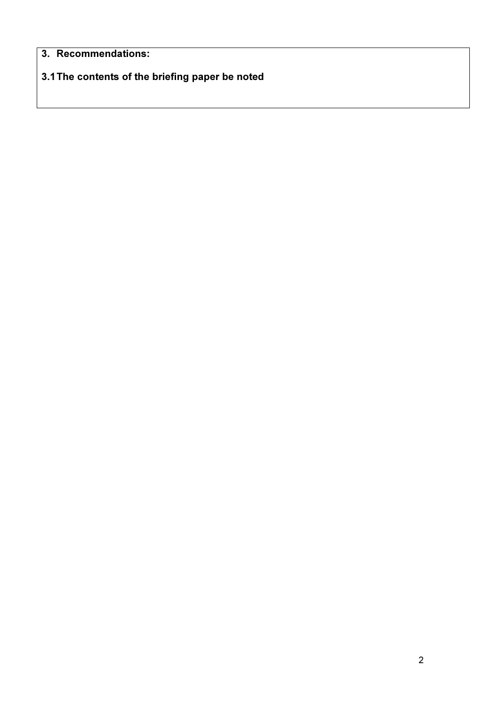## 3. Recommendations:

# 3.1 The contents of the briefing paper be noted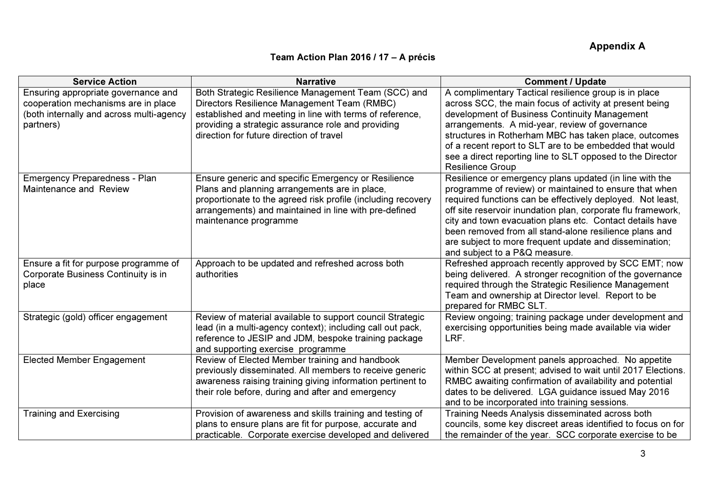### Appendix A

#### Team Action Plan 2016 / 17 – A précis

| <b>Service Action</b>                                                                                                               | <b>Narrative</b>                                                                                                                                                                                                                                                 | <b>Comment / Update</b>                                                                                                                                                                                                                                                                                                                                                                                                                                          |
|-------------------------------------------------------------------------------------------------------------------------------------|------------------------------------------------------------------------------------------------------------------------------------------------------------------------------------------------------------------------------------------------------------------|------------------------------------------------------------------------------------------------------------------------------------------------------------------------------------------------------------------------------------------------------------------------------------------------------------------------------------------------------------------------------------------------------------------------------------------------------------------|
| Ensuring appropriate governance and<br>cooperation mechanisms are in place<br>(both internally and across multi-agency<br>partners) | Both Strategic Resilience Management Team (SCC) and<br>Directors Resilience Management Team (RMBC)<br>established and meeting in line with terms of reference,<br>providing a strategic assurance role and providing<br>direction for future direction of travel | A complimentary Tactical resilience group is in place<br>across SCC, the main focus of activity at present being<br>development of Business Continuity Management<br>arrangements. A mid-year, review of governance<br>structures in Rotherham MBC has taken place, outcomes<br>of a recent report to SLT are to be embedded that would<br>see a direct reporting line to SLT opposed to the Director<br><b>Resilience Group</b>                                 |
| Emergency Preparedness - Plan<br>Maintenance and Review                                                                             | Ensure generic and specific Emergency or Resilience<br>Plans and planning arrangements are in place,<br>proportionate to the agreed risk profile (including recovery<br>arrangements) and maintained in line with pre-defined<br>maintenance programme           | Resilience or emergency plans updated (in line with the<br>programme of review) or maintained to ensure that when<br>required functions can be effectively deployed. Not least,<br>off site reservoir inundation plan, corporate flu framework,<br>city and town evacuation plans etc. Contact details have<br>been removed from all stand-alone resilience plans and<br>are subject to more frequent update and dissemination;<br>and subject to a P&Q measure. |
| Ensure a fit for purpose programme of<br>Corporate Business Continuity is in<br>place                                               | Approach to be updated and refreshed across both<br>authorities                                                                                                                                                                                                  | Refreshed approach recently approved by SCC EMT; now<br>being delivered. A stronger recognition of the governance<br>required through the Strategic Resilience Management<br>Team and ownership at Director level. Report to be<br>prepared for RMBC SLT.                                                                                                                                                                                                        |
| Strategic (gold) officer engagement                                                                                                 | Review of material available to support council Strategic<br>lead (in a multi-agency context); including call out pack,<br>reference to JESIP and JDM, bespoke training package<br>and supporting exercise programme                                             | Review ongoing; training package under development and<br>exercising opportunities being made available via wider<br>LRF.                                                                                                                                                                                                                                                                                                                                        |
| <b>Elected Member Engagement</b>                                                                                                    | Review of Elected Member training and handbook<br>previously disseminated. All members to receive generic<br>awareness raising training giving information pertinent to<br>their role before, during and after and emergency                                     | Member Development panels approached. No appetite<br>within SCC at present; advised to wait until 2017 Elections.<br>RMBC awaiting confirmation of availability and potential<br>dates to be delivered. LGA guidance issued May 2016<br>and to be incorporated into training sessions.                                                                                                                                                                           |
| <b>Training and Exercising</b>                                                                                                      | Provision of awareness and skills training and testing of<br>plans to ensure plans are fit for purpose, accurate and<br>practicable. Corporate exercise developed and delivered                                                                                  | Training Needs Analysis disseminated across both<br>councils, some key discreet areas identified to focus on for<br>the remainder of the year. SCC corporate exercise to be                                                                                                                                                                                                                                                                                      |